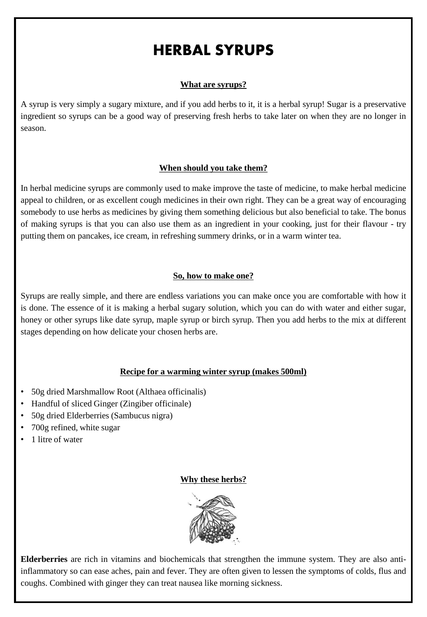# HERBAL SYRUPS

# **What are syrups?**

A syrup is very simply a sugary mixture, and if you add herbs to it, it is a herbal syrup! Sugar is a preservative ingredient so syrups can be a good way of preserving fresh herbs to take later on when they are no longer in season.

### **When should you take them?**

In herbal medicine syrups are commonly used to make improve the taste of medicine, to make herbal medicine appeal to children, or as excellent cough medicines in their own right. They can be a great way of encouraging somebody to use herbs as medicines by giving them something delicious but also beneficial to take. The bonus of making syrups is that you can also use them as an ingredient in your cooking, just for their flavour - try putting them on pancakes, ice cream, in refreshing summery drinks, or in a warm winter tea.

### **So, how to make one?**

Syrups are really simple, and there are endless variations you can make once you are comfortable with how it is done. The essence of it is making a herbal sugary solution, which you can do with water and either sugar, honey or other syrups like date syrup, maple syrup or birch syrup. Then you add herbs to the mix at different stages depending on how delicate your chosen herbs are.

### **Recipe for a warming winter syrup (makes 500ml)**

- 50g dried Marshmallow Root (Althaea officinalis)
- Handful of sliced Ginger (Zingiber officinale)
- 50g dried Elderberries (Sambucus nigra)
- 700g refined, white sugar
- 1 litre of water

### **Why these herbs?**



**Elderberries** are rich in vitamins and biochemicals that strengthen the immune system. They are also antiinflammatory so can ease aches, pain and fever. They are often given to lessen the symptoms of colds, flus and coughs. Combined with ginger they can treat nausea like morning sickness.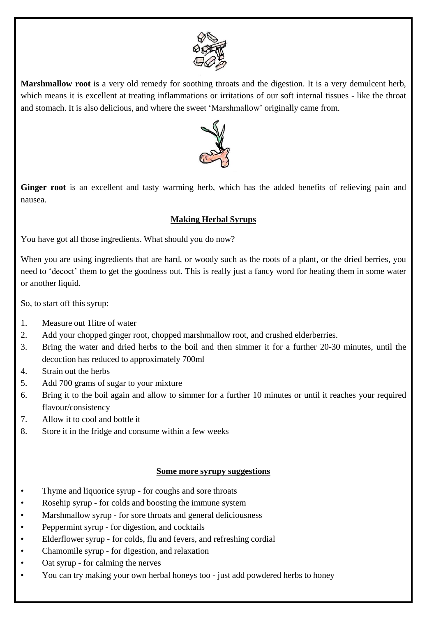

**Marshmallow root** is a very old remedy for soothing throats and the digestion. It is a very demulcent herb, which means it is excellent at treating inflammations or irritations of our soft internal tissues - like the throat and stomach. It is also delicious, and where the sweet 'Marshmallow' originally came from.



**Ginger root** is an excellent and tasty warming herb, which has the added benefits of relieving pain and nausea.

# **Making Herbal Syrups**

You have got all those ingredients. What should you do now?

When you are using ingredients that are hard, or woody such as the roots of a plant, or the dried berries, you need to 'decoct' them to get the goodness out. This is really just a fancy word for heating them in some water or another liquid.

So, to start off this syrup:

- 1. Measure out 1litre of water
- 2. Add your chopped ginger root, chopped marshmallow root, and crushed elderberries.
- 3. Bring the water and dried herbs to the boil and then simmer it for a further 20-30 minutes, until the decoction has reduced to approximately 700ml
- 4. Strain out the herbs
- 5. Add 700 grams of sugar to your mixture
- 6. Bring it to the boil again and allow to simmer for a further 10 minutes or until it reaches your required flavour/consistency
- 7. Allow it to cool and bottle it
- 8. Store it in the fridge and consume within a few weeks

### **Some more syrupy suggestions**

- Thyme and liquorice syrup for coughs and sore throats
- Rosehip syrup for colds and boosting the immune system
- Marshmallow syrup for sore throats and general deliciousness
- Peppermint syrup for digestion, and cocktails
- Elderflower syrup for colds, flu and fevers, and refreshing cordial
- Chamomile syrup for digestion, and relaxation
- Oat syrup for calming the nerves
- You can try making your own herbal honeys too just add powdered herbs to honey